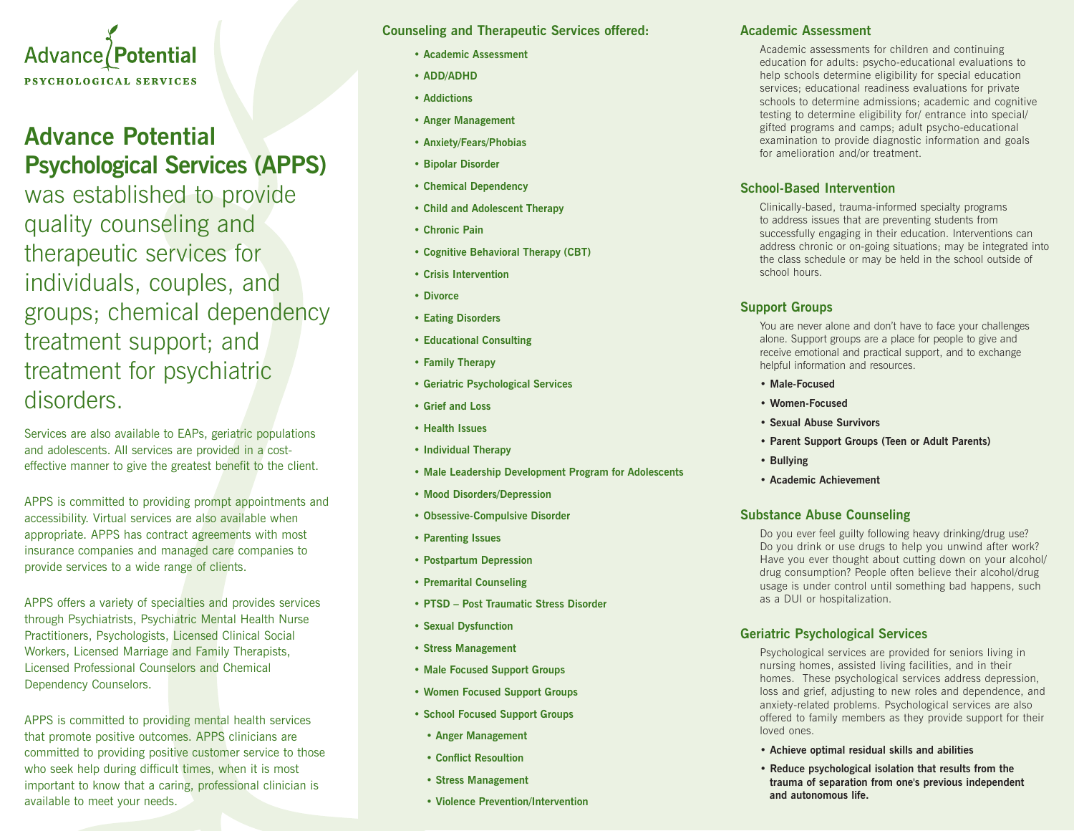

## **Advance Potential Psychological Services (APPS)**

was established to provide quality counseling and therapeutic services for individuals, couples, and groups; chemical dependency treatment support; and treatment for psychiatric disorders.

Services are also available to EAPs, geriatric populations and adolescents. All services are provided in a costeffective manner to give the greatest benefit to the client.

APPS is committed to providing prompt appointments and accessibility. Virtual services are also available when appropriate. APPS has contract agreements with most insurance companies and managed care companies to provide services to a wide range of clients.

APPS offers a variety of specialties and provides services through Psychiatrists, Psychiatric Mental Health Nurse Practitioners, Psychologists, Licensed Clinical Social Workers, Licensed Marriage and Family Therapists, Licensed Professional Counselors and Chemical Dependency Counselors.

APPS is committed to providing mental health services that promote positive outcomes. APPS clinicians are committed to providing positive customer service to those who seek help during difficult times, when it is most important to know that a caring, professional clinician is available to meet your needs.

**Counseling and Therapeutic Services offered:**

- **Academic Assessment**
- **ADD/ADHD**
- **Addictions**
- **Anger Management**
- **Anxiety/Fears/Phobias**
- **Bipolar Disorder**
- **Chemical Dependency**
- **Child and Adolescent Therapy**
- **Chronic Pain**
- **Cognitive Behavioral Therapy (CBT)**
- **Crisis Intervention**
- **Divorce**
- **Eating Disorders**
- **Educational Consulting**
- **Family Therapy**
- **Geriatric Psychological Services**
- **Grief and Loss**
- **Health Issues**
- **Individual Therapy**
- **Male Leadership Development Program for Adolescents**
- **Mood Disorders/Depression**
- **Obsessive-Compulsive Disorder**
- **Parenting Issues**
- **Postpartum Depression**
- **Premarital Counseling**
- **PTSD Post Traumatic Stress Disorder**
- **Sexual Dysfunction**
- **Stress Management**
- **Male Focused Support Groups**
- **Women Focused Support Groups**
- **School Focused Support Groups**
- **Anger Management**
- **Conflict Resoultion**
- **Stress Management**
- **Violence Prevention/Intervention**

### **Academic Assessment**

Academic assessments for children and continuing education for adults: psycho-educational evaluations to help schools determine eligibility for special education services; educational readiness evaluations for private schools to determine admissions; academic and cognitive testing to determine eligibility for/ entrance into special/ gifted programs and camps; adult psycho-educational examination to provide diagnostic information and goals for amelioration and/or treatment.

## **School-Based Intervention**

Clinically-based, trauma-informed specialty programs to address issues that are preventing students from successfully engaging in their education. Interventions can address chronic or on-going situations; may be integrated into the class schedule or may be held in the school outside of school hours.

## **Support Groups**

You are never alone and don't have to face your challenges alone. Support groups are a place for people to give and receive emotional and practical support, and to exchange helpful information and resources.

- **Male-Focused**
- **Women-Focused**
- **Sexual Abuse Survivors**
- **Parent Support Groups (Teen or Adult Parents)**
- **Bullying**
- **Academic Achievement**

## **Substance Abuse Counseling**

Do you ever feel guilty following heavy drinking/drug use? Do you drink or use drugs to help you unwind after work? Have you ever thought about cutting down on your alcohol/ drug consumption? People often believe their alcohol/drug usage is under control until something bad happens, such as a DUI or hospitalization.

## **Geriatric Psychological Services**

Psychological services are provided for seniors living in nursing homes, assisted living facilities, and in their homes. These psychological services address depression, loss and grief, adjusting to new roles and dependence, and anxiety-related problems. Psychological services are also offered to family members as they provide support for their loved ones.

- **Achieve optimal residual skills and abilities**
- **Reduce psychological isolation that results from the trauma of separation from one's previous independent and autonomous life.**